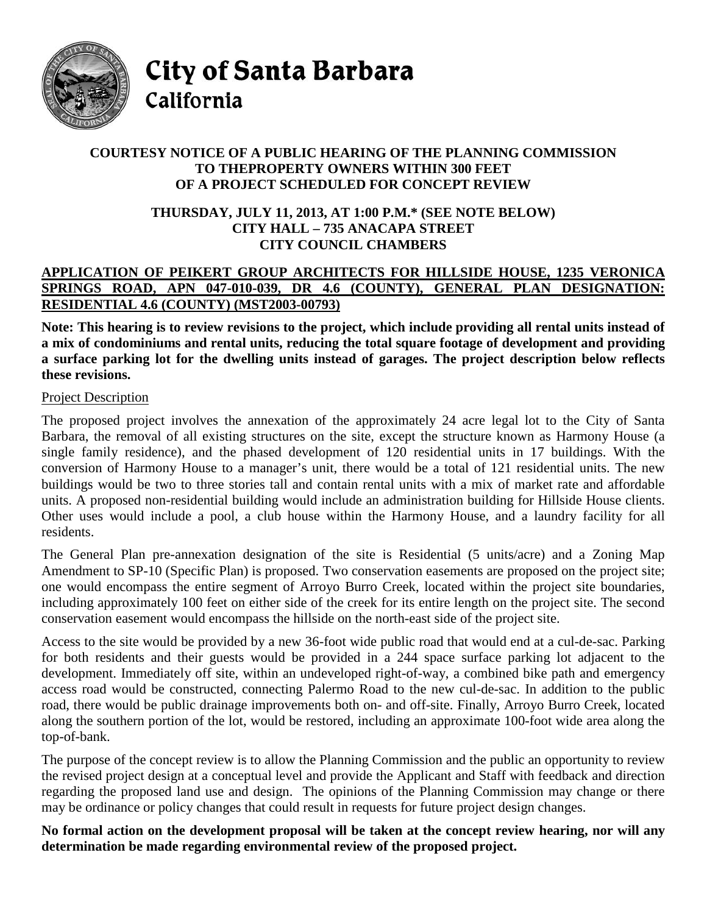

City of Santa Barbara California

## **COURTESY NOTICE OF A PUBLIC HEARING OF THE PLANNING COMMISSION TO THEPROPERTY OWNERS WITHIN 300 FEET OF A PROJECT SCHEDULED FOR CONCEPT REVIEW**

## **THURSDAY, JULY 11, 2013, AT 1:00 P.M.\* (SEE NOTE BELOW) CITY HALL – 735 ANACAPA STREET CITY COUNCIL CHAMBERS**

## **APPLICATION OF PEIKERT GROUP ARCHITECTS FOR HILLSIDE HOUSE, 1235 VERONICA SPRINGS ROAD, APN 047-010-039, DR 4.6 (COUNTY), GENERAL PLAN DESIGNATION: RESIDENTIAL 4.6 (COUNTY) (MST2003-00793)**

**Note: This hearing is to review revisions to the project, which include providing all rental units instead of a mix of condominiums and rental units, reducing the total square footage of development and providing a surface parking lot for the dwelling units instead of garages. The project description below reflects these revisions.**

## Project Description

The proposed project involves the annexation of the approximately 24 acre legal lot to the City of Santa Barbara, the removal of all existing structures on the site, except the structure known as Harmony House (a single family residence), and the phased development of 120 residential units in 17 buildings. With the conversion of Harmony House to a manager's unit, there would be a total of 121 residential units. The new buildings would be two to three stories tall and contain rental units with a mix of market rate and affordable units. A proposed non-residential building would include an administration building for Hillside House clients. Other uses would include a pool, a club house within the Harmony House, and a laundry facility for all residents.

The General Plan pre-annexation designation of the site is Residential (5 units/acre) and a Zoning Map Amendment to SP-10 (Specific Plan) is proposed. Two conservation easements are proposed on the project site; one would encompass the entire segment of Arroyo Burro Creek, located within the project site boundaries, including approximately 100 feet on either side of the creek for its entire length on the project site. The second conservation easement would encompass the hillside on the north-east side of the project site.

Access to the site would be provided by a new 36-foot wide public road that would end at a cul-de-sac. Parking for both residents and their guests would be provided in a 244 space surface parking lot adjacent to the development. Immediately off site, within an undeveloped right-of-way, a combined bike path and emergency access road would be constructed, connecting Palermo Road to the new cul-de-sac. In addition to the public road, there would be public drainage improvements both on- and off-site. Finally, Arroyo Burro Creek, located along the southern portion of the lot, would be restored, including an approximate 100-foot wide area along the top-of-bank.

The purpose of the concept review is to allow the Planning Commission and the public an opportunity to review the revised project design at a conceptual level and provide the Applicant and Staff with feedback and direction regarding the proposed land use and design. The opinions of the Planning Commission may change or there may be ordinance or policy changes that could result in requests for future project design changes.

**No formal action on the development proposal will be taken at the concept review hearing, nor will any determination be made regarding environmental review of the proposed project.**